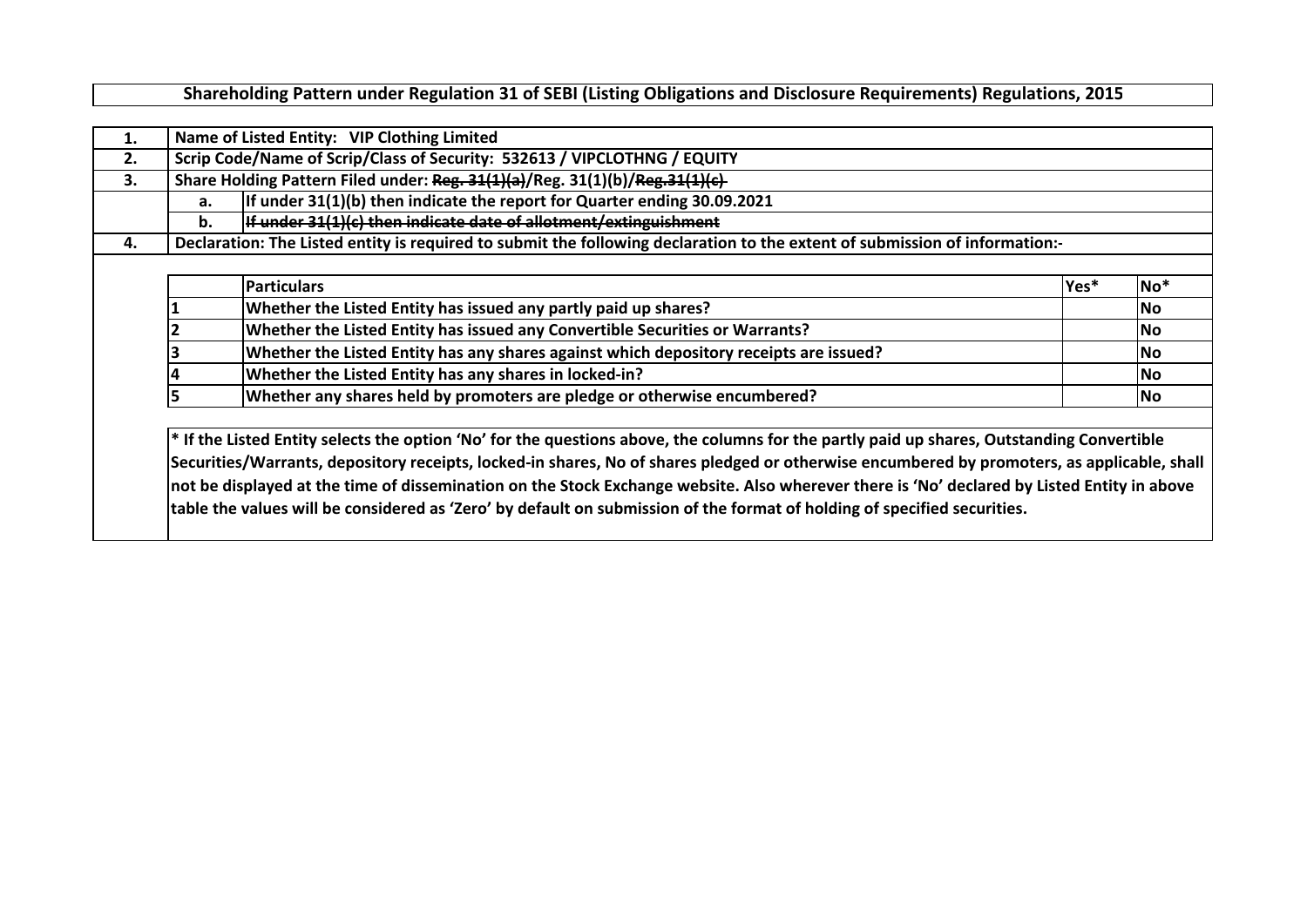**Shareholding Pattern under Regulation 31 of SEBI (Listing Obligations and Disclosure Requirements) Regulations, 2015**

| 1.<br>2.<br>3. |          | Name of Listed Entity: VIP Clothing Limited<br>Scrip Code/Name of Scrip/Class of Security: 532613 / VIPCLOTHNG / EQUITY<br>Share Holding Pattern Filed under: Reg. 31(1)(a)/Reg. 31(1)(b)/Reg. 31(1)(c)                                                                                                                                                                                                                                                                                                                                                              |      |                 |
|----------------|----------|----------------------------------------------------------------------------------------------------------------------------------------------------------------------------------------------------------------------------------------------------------------------------------------------------------------------------------------------------------------------------------------------------------------------------------------------------------------------------------------------------------------------------------------------------------------------|------|-----------------|
|                | a.<br>b. | If under 31(1)(b) then indicate the report for Quarter ending 30.09.2021<br>If under 31(1)(c) then indicate date of allotment/extinguishment                                                                                                                                                                                                                                                                                                                                                                                                                         |      |                 |
| 4.             |          | Declaration: The Listed entity is required to submit the following declaration to the extent of submission of information:-                                                                                                                                                                                                                                                                                                                                                                                                                                          |      |                 |
|                |          | <b>Particulars</b>                                                                                                                                                                                                                                                                                                                                                                                                                                                                                                                                                   | Yes* | No <sup>*</sup> |
|                |          | Whether the Listed Entity has issued any partly paid up shares?                                                                                                                                                                                                                                                                                                                                                                                                                                                                                                      |      | lNo.            |
|                |          | Whether the Listed Entity has issued any Convertible Securities or Warrants?                                                                                                                                                                                                                                                                                                                                                                                                                                                                                         |      | lNo.            |
|                |          | Whether the Listed Entity has any shares against which depository receipts are issued?                                                                                                                                                                                                                                                                                                                                                                                                                                                                               |      | lNo.            |
|                |          | Whether the Listed Entity has any shares in locked-in?                                                                                                                                                                                                                                                                                                                                                                                                                                                                                                               |      | lNo.            |
|                |          | Whether any shares held by promoters are pledge or otherwise encumbered?                                                                                                                                                                                                                                                                                                                                                                                                                                                                                             |      | <b>No</b>       |
|                |          | * If the Listed Entity selects the option 'No' for the questions above, the columns for the partly paid up shares, Outstanding Convertible<br>Securities/Warrants, depository receipts, locked-in shares, No of shares pledged or otherwise encumbered by promoters, as applicable, shall<br>not be displayed at the time of dissemination on the Stock Exchange website. Also wherever there is 'No' declared by Listed Entity in above<br>table the values will be considered as 'Zero' by default on submission of the format of holding of specified securities. |      |                 |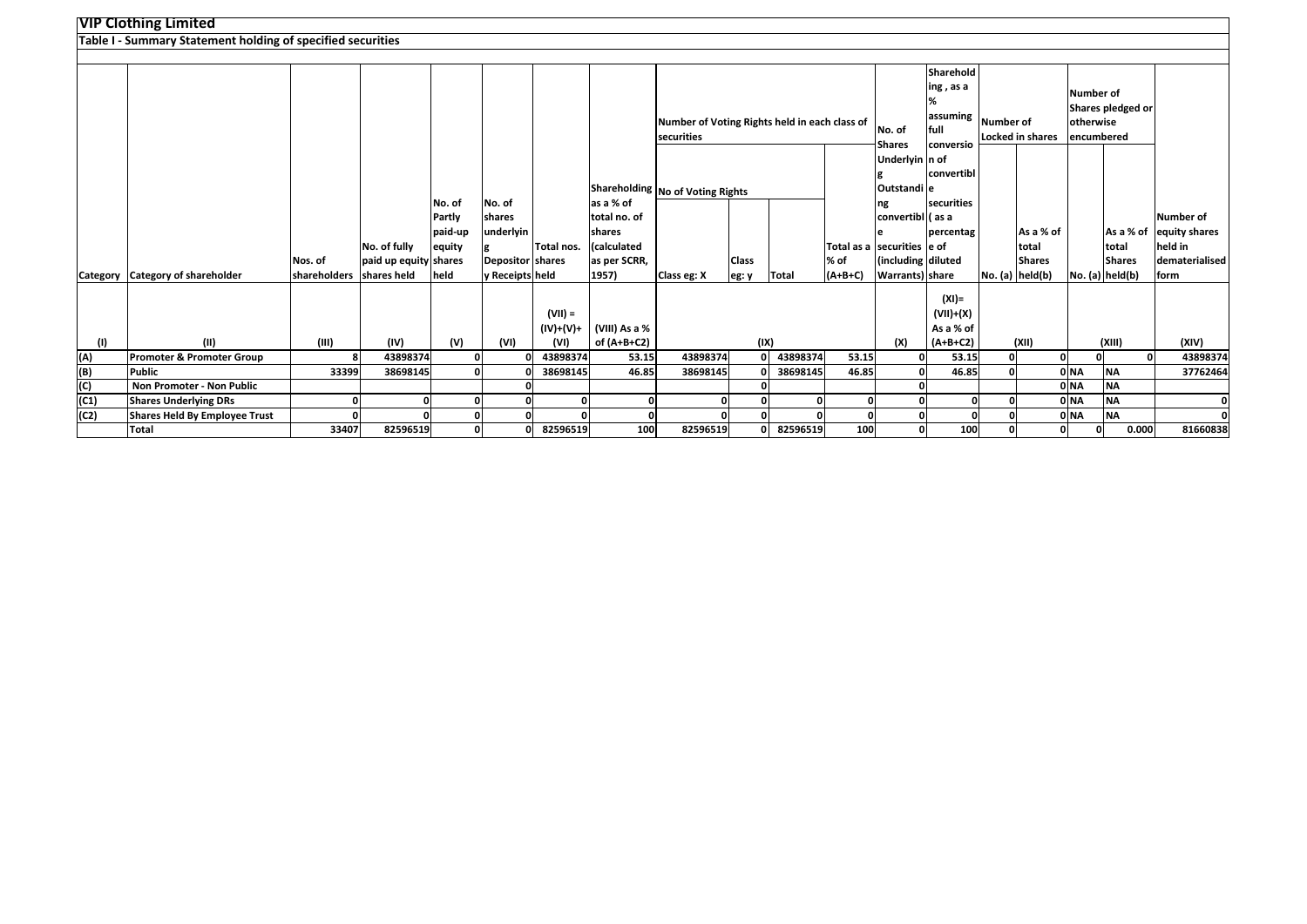|      | <b>VIP Clothing Limited</b>                                 |                     |                       |         |                         |                        |               |                                                             |              |          |                              |                         |                        |           |                         |                  |                   |                         |
|------|-------------------------------------------------------------|---------------------|-----------------------|---------|-------------------------|------------------------|---------------|-------------------------------------------------------------|--------------|----------|------------------------------|-------------------------|------------------------|-----------|-------------------------|------------------|-------------------|-------------------------|
|      | Table I - Summary Statement holding of specified securities |                     |                       |         |                         |                        |               |                                                             |              |          |                              |                         |                        |           |                         |                  |                   |                         |
|      |                                                             |                     |                       |         |                         |                        |               |                                                             |              |          |                              |                         |                        |           |                         |                  |                   |                         |
|      |                                                             |                     |                       |         |                         |                        |               |                                                             |              |          |                              |                         | Sharehold              |           |                         |                  |                   |                         |
|      |                                                             |                     |                       |         |                         |                        |               |                                                             |              |          |                              |                         | ing, as a              |           |                         | <b>Number of</b> |                   |                         |
|      |                                                             |                     |                       |         |                         |                        |               |                                                             |              |          |                              |                         | %                      |           |                         |                  | Shares pledged or |                         |
|      |                                                             |                     |                       |         |                         |                        |               | Number of Voting Rights held in each class of<br>securities |              |          |                              |                         | assuming               | Number of |                         | otherwise        |                   |                         |
|      |                                                             |                     |                       |         |                         |                        |               |                                                             |              |          |                              | No. of                  | full                   |           | <b>Locked in shares</b> | encumbered       |                   |                         |
|      |                                                             |                     |                       |         |                         |                        |               |                                                             |              |          |                              | Shares                  | conversio              |           |                         |                  |                   |                         |
|      |                                                             |                     |                       |         |                         |                        |               |                                                             |              |          |                              | Underlyin n of          | convertibl             |           |                         |                  |                   |                         |
|      |                                                             |                     |                       |         |                         |                        |               |                                                             |              |          |                              | Outstandi e             |                        |           |                         |                  |                   |                         |
|      |                                                             |                     |                       | No. of  | No. of                  |                        | as a % of     | Shareholding No of Voting Rights                            |              |          |                              | ng                      | <b>securities</b>      |           |                         |                  |                   |                         |
|      |                                                             |                     |                       | Partly  | shares                  |                        | total no. of  |                                                             |              |          |                              | convertibl (as a        |                        |           |                         |                  |                   | Number of               |
|      |                                                             |                     |                       | paid-up | underlyin               |                        | shares        |                                                             |              |          |                              |                         | percentag              |           | As a % of               |                  |                   | As a % of equity shares |
|      |                                                             |                     | No. of fully          | equity  |                         | Total nos.             | (calculated   |                                                             |              |          | Total as a Isecurities le of |                         |                        |           | total                   |                  | total             | held in                 |
|      |                                                             | Nos. of             | paid up equity shares |         | <b>Depositor shares</b> |                        | as per SCRR,  |                                                             | <b>Class</b> |          | % of                         | (including diluted      |                        |           | <b>Shares</b>           |                  | <b>Shares</b>     | dematerialised          |
|      | Category Category of shareholder                            | <b>shareholders</b> | shares held           | held    | y Receipts held         |                        | 1957)         | Class eg: X                                                 | eg: y        | Total    | $(A+B+C)$                    | <b>Warrants</b> ) share |                        |           | No. (a) held(b)         |                  | No. (a) held(b)   | <b>Iform</b>            |
|      |                                                             |                     |                       |         |                         |                        |               |                                                             |              |          |                              |                         |                        |           |                         |                  |                   |                         |
|      |                                                             |                     |                       |         |                         |                        |               |                                                             |              |          |                              |                         | $(XI) =$               |           |                         |                  |                   |                         |
|      |                                                             |                     |                       |         |                         | $(VII) =$<br>(IV)+(V)+ | (VIII) As a % |                                                             |              |          |                              |                         | (VII)+(X)<br>As a % of |           |                         |                  |                   |                         |
| (1)  | (11)                                                        | (III)               | (IV)                  | (V)     | (VI)                    | (VI)                   | of (A+B+C2)   |                                                             | (IX)         |          |                              | (X)                     | $(A+B+C2)$             |           | (XII)                   |                  | (XIII)            | (XIV)                   |
| (A)  | Promoter & Promoter Group                                   | 8                   | 43898374              |         |                         | 43898374               | 53.15         | 43898374                                                    | $\mathbf{0}$ | 43898374 | 53.15                        |                         | 53.15                  | 0         |                         | O                | O                 | 43898374                |
| (B)  | <b>Public</b>                                               | 33399               | 38698145              |         |                         | 38698145               | 46.85         | 38698145                                                    |              | 38698145 | 46.85                        |                         | 46.85                  |           |                         | 0 <sub>NA</sub>  | <b>NA</b>         | 37762464                |
| (C)  | Non Promoter - Non Public                                   |                     |                       |         |                         |                        |               |                                                             |              |          |                              |                         |                        |           |                         | 0 NA             | <b>NA</b>         |                         |
| (C1) | <b>Shares Underlying DRs</b>                                | 0                   | O                     | o       |                         |                        | O             |                                                             | 0            | $\Omega$ |                              |                         | $\Omega$               | O         |                         | 0 NA             | <b>NA</b>         |                         |
| (C2) | <b>Shares Held By Employee Trust</b>                        | <sub>0</sub>        |                       | o       |                         |                        | $\Omega$      |                                                             | 0            |          |                              |                         | O                      |           |                         | 0 NA             | <b>NA</b>         |                         |
|      | Total                                                       | 33407               | 82596519              | 0       |                         | 82596519               | 100           | 82596519                                                    | 0            | 82596519 | 100                          | O                       | 100                    |           |                         | $\Omega$         | 0.000             | 81660838                |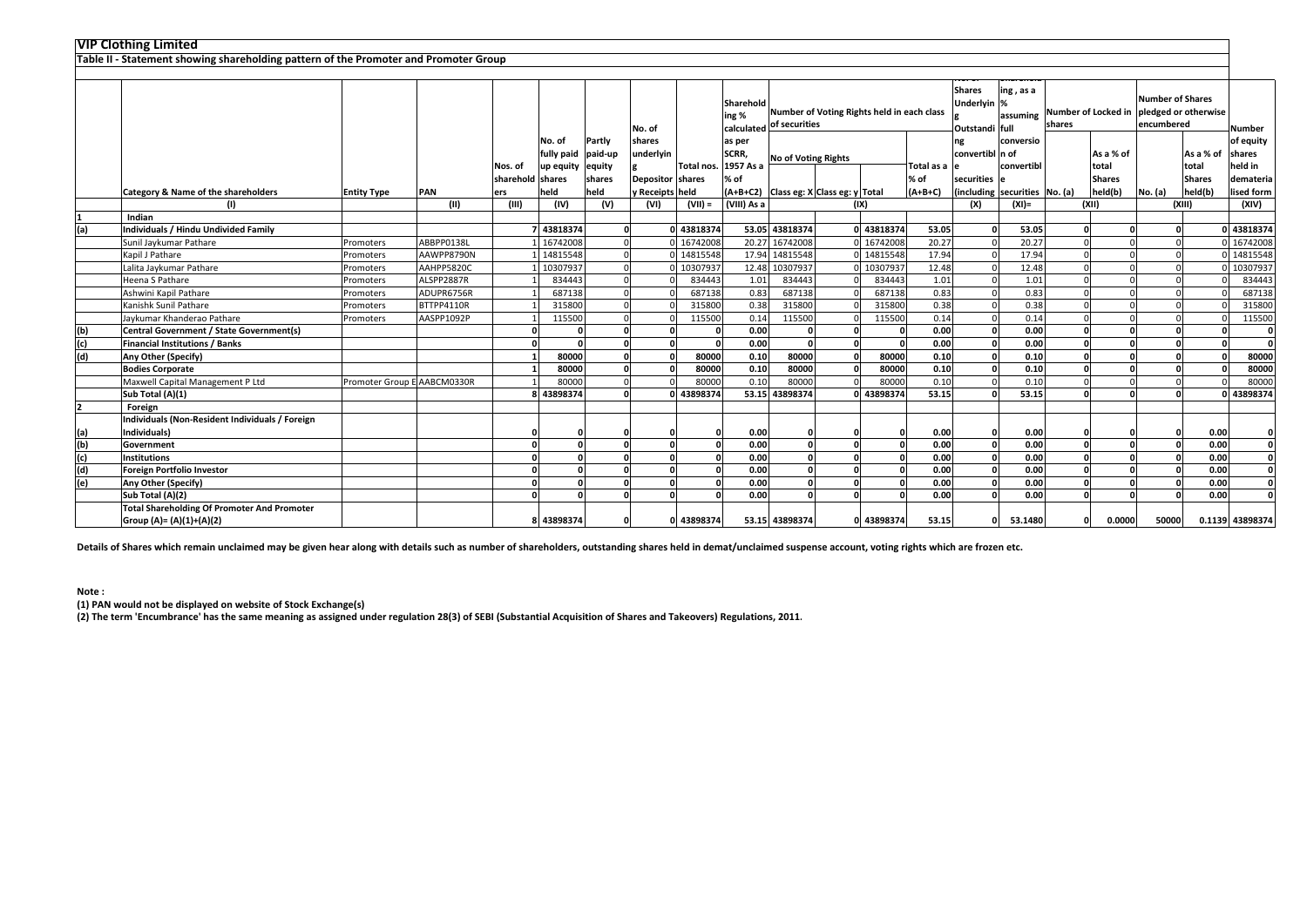| <b>VIP Clothing Limited</b> |
|-----------------------------|
|-----------------------------|

|     | Table II - Statement showing shareholding pattern of the Promoter and Promoter Group |                             |            |                             |                                          |                             |                                                   |            |                                                                          |                                             |                                        |                                            |                      |                                                                                         |                                                 |        |                                     |                                       |                                                                                 |                                                              |
|-----|--------------------------------------------------------------------------------------|-----------------------------|------------|-----------------------------|------------------------------------------|-----------------------------|---------------------------------------------------|------------|--------------------------------------------------------------------------|---------------------------------------------|----------------------------------------|--------------------------------------------|----------------------|-----------------------------------------------------------------------------------------|-------------------------------------------------|--------|-------------------------------------|---------------------------------------|---------------------------------------------------------------------------------|--------------------------------------------------------------|
|     |                                                                                      |                             |            | Nos. of<br>sharehold shares | No. of<br>fully paid<br>up equity equity | Partly<br>paid-up<br>shares | No. of<br>shares<br>underlyin<br>Depositor shares | Total nos. | Sharehold<br>ing %<br>calculated<br>as per<br>SCRR,<br>1957 As a<br>% of | of securities<br><b>No of Voting Rights</b> |                                        | Number of Voting Rights held in each class | Total as a e<br>% of | <b>Shares</b><br>Underlyin %<br>Outstandi full<br>ng<br>convertibl n of<br>securities e | ing, as a<br>assuming<br>conversio<br>convertib | shares | As a % of<br>total<br><b>Shares</b> | <b>Number of Shares</b><br>encumbered | Number of Locked in pledged or otherwise<br>As a % of<br>total<br><b>Shares</b> | <b>Number</b><br>of equity<br>shares<br>held in<br>demateria |
|     | Category & Name of the shareholders                                                  | <b>Entity Type</b>          | PAN        | ers                         | held                                     | held                        | y Receipts held                                   |            |                                                                          |                                             | (A+B+C2) Class eg: X Class eg: y Total |                                            | $(A+B+C)$            |                                                                                         | (including securities No. (a)                   |        | held(b)                             | No. (a)                               | held(b)                                                                         | lised form                                                   |
|     |                                                                                      |                             | (III)      | (III)                       | (IV)                                     | (V)                         | (VI)                                              | $(VII) =$  | (VIII) As a                                                              |                                             |                                        | (IX)                                       |                      | (X)                                                                                     | $(XI) =$                                        |        | (XII)                               |                                       | (XIII)                                                                          | (XIV)                                                        |
|     | Indian                                                                               |                             |            |                             |                                          |                             |                                                   |            |                                                                          |                                             |                                        |                                            |                      |                                                                                         |                                                 |        |                                     |                                       |                                                                                 |                                                              |
| (a) | Individuals / Hindu Undivided Family                                                 |                             |            |                             | 7 43818374                               | 0                           |                                                   | 43818374   |                                                                          | 53.05 43818374                              |                                        | 0 43818374                                 | 53.05                |                                                                                         | 53.05                                           |        |                                     | $\Omega$                              |                                                                                 | 43818374                                                     |
|     | Sunil Jaykumar Pathare                                                               | Promoters                   | ABBPP0138L |                             | 16742008                                 |                             |                                                   | 16742008   | 20.27                                                                    | 16742008                                    |                                        | 0 16742008                                 | 20.27                |                                                                                         | 20.27                                           |        |                                     |                                       |                                                                                 | 16742008                                                     |
|     | Kapil J Pathare                                                                      | Promoters                   | AAWPP8790N |                             | 14815548                                 |                             |                                                   | 14815548   |                                                                          | 17.94 14815548                              |                                        | 0 14815548                                 | 17.94                |                                                                                         | 17.94                                           |        |                                     |                                       |                                                                                 | 14815548                                                     |
|     | Lalita Jaykumar Pathare                                                              | Promoters                   | AAHPP5820C |                             | 10307937                                 |                             |                                                   | 10307937   | 12.48                                                                    | 10307937                                    |                                        | 10307937                                   | 12.48                |                                                                                         | 12.48                                           |        |                                     |                                       |                                                                                 | 10307937                                                     |
|     | Heena S Pathare                                                                      | Promoters                   | ALSPP2887R |                             | 834443                                   |                             |                                                   | 834443     | 1.01                                                                     | 834443                                      |                                        | 834443                                     | 1.01                 |                                                                                         | 1.01                                            |        |                                     |                                       |                                                                                 | 834443                                                       |
|     | Ashwini Kapil Pathare                                                                | Promoters                   | ADUPR6756R |                             | 687138                                   |                             |                                                   | 687138     | 0.83                                                                     | 687138                                      |                                        | 687138                                     | 0.83                 |                                                                                         | 0.83                                            |        |                                     |                                       |                                                                                 | 687138                                                       |
|     | Kanishk Sunil Pathare                                                                | Promoters                   | BTTPP4110R |                             | 315800                                   |                             |                                                   | 315800     | 0.38                                                                     | 315800                                      |                                        | 315800                                     | 0.38                 |                                                                                         | 0.38                                            |        |                                     |                                       |                                                                                 | 315800                                                       |
|     | Jaykumar Khanderao Pathare                                                           | Promoters                   | AASPP1092P |                             | 115500                                   |                             |                                                   | 115500     | 0.14                                                                     | 115500                                      |                                        | 115500                                     | 0.14                 |                                                                                         | 0.14                                            |        |                                     |                                       |                                                                                 | 115500                                                       |
| (b) | Central Government / State Government(s)                                             |                             |            |                             |                                          |                             |                                                   |            | 0.00                                                                     |                                             |                                        |                                            | 0.00                 |                                                                                         | 0.00                                            |        |                                     | $\Omega$                              |                                                                                 | $\Omega$                                                     |
| (c) | <b>Financial Institutions / Banks</b>                                                |                             |            | $\Omega$                    |                                          |                             |                                                   |            | 0.00                                                                     |                                             | $\Omega$                               |                                            | 0.00                 |                                                                                         | 0.00                                            |        |                                     | $\Omega$                              |                                                                                 | $\Omega$                                                     |
| (d) | Any Other (Specify)                                                                  |                             |            |                             | 80000                                    |                             |                                                   | 80000      | 0.10                                                                     | 80000                                       |                                        | 80000                                      | 0.10                 |                                                                                         | 0.10                                            |        |                                     | $\Omega$                              |                                                                                 | 80000                                                        |
|     | <b>Bodies Corporate</b>                                                              |                             |            |                             | 80000                                    |                             |                                                   | 80000      | 0.10                                                                     | 80000                                       |                                        | 80000                                      | 0.10                 |                                                                                         | 0.10                                            |        |                                     |                                       |                                                                                 | 80000                                                        |
|     | Maxwell Capital Management P Ltd                                                     | Promoter Group E AABCM0330R |            |                             | 80000                                    |                             |                                                   | 80000      | 0.10                                                                     | 80000                                       |                                        | 80000                                      | 0.10                 |                                                                                         | 0.10                                            |        |                                     |                                       |                                                                                 | 80000                                                        |
|     | Sub Total (A)(1)                                                                     |                             |            |                             | 8 43898374                               |                             |                                                   | 43898374   |                                                                          | 53.15 43898374                              |                                        | 0 43898374                                 | 53.15                |                                                                                         | 53.15                                           |        |                                     |                                       |                                                                                 | 43898374                                                     |
|     | Foreign                                                                              |                             |            |                             |                                          |                             |                                                   |            |                                                                          |                                             |                                        |                                            |                      |                                                                                         |                                                 |        |                                     |                                       |                                                                                 |                                                              |
|     | Individuals (Non-Resident Individuals / Foreign                                      |                             |            |                             |                                          |                             |                                                   |            |                                                                          |                                             |                                        |                                            |                      |                                                                                         |                                                 |        |                                     |                                       |                                                                                 |                                                              |
| (a) | Individuals)                                                                         |                             |            | $\Omega$                    |                                          |                             |                                                   |            | 0.00                                                                     |                                             | n                                      |                                            | 0.00                 |                                                                                         | 0.00                                            |        |                                     | $\Omega$                              | 0.00                                                                            | 0                                                            |
| (b) | Government                                                                           |                             |            | $\mathbf{0}$                |                                          |                             |                                                   |            | 0.00                                                                     |                                             | $\Omega$                               |                                            | 0.00                 |                                                                                         | 0.00                                            |        |                                     | $\Omega$                              | 0.00                                                                            | $\mathbf{o}$                                                 |
| (c) | <b>Institutions</b>                                                                  |                             |            | $\Omega$                    |                                          |                             |                                                   |            | 0.00                                                                     |                                             | $\Omega$                               |                                            | 0.00                 |                                                                                         | 0.00                                            |        |                                     | $\sqrt{2}$                            | 0.00                                                                            | $\mathbf{0}$                                                 |
| (d) | <b>Foreign Portfolio Investor</b>                                                    |                             |            | - 0                         |                                          | n                           |                                                   |            | 0.00                                                                     |                                             | $\sqrt{2}$                             |                                            | 0.00                 |                                                                                         | 0.00                                            |        |                                     | $\sqrt{2}$                            | 0.00                                                                            | $\mathbf{0}$                                                 |
| (e) | Any Other (Specify)                                                                  |                             |            | $\Omega$                    |                                          |                             |                                                   |            | 0.00                                                                     |                                             |                                        |                                            | 0.00                 |                                                                                         | 0.00                                            |        |                                     |                                       | 0.00                                                                            | $\Omega$                                                     |
|     | Sub Total (A)(2)                                                                     |                             |            | $\Omega$                    |                                          |                             |                                                   |            | 0.00                                                                     |                                             |                                        |                                            | 0.00                 |                                                                                         | 0.00                                            |        |                                     |                                       | 0.00                                                                            |                                                              |
|     | <b>Total Shareholding Of Promoter And Promoter</b>                                   |                             |            |                             |                                          |                             |                                                   |            |                                                                          |                                             |                                        |                                            |                      |                                                                                         |                                                 |        |                                     |                                       |                                                                                 |                                                              |
|     | Group (A)= (A)(1)+(A)(2)                                                             |                             |            |                             | 8 43898374                               |                             |                                                   | 0 43898374 |                                                                          | 53.15 43898374                              |                                        | 0 43898374                                 | 53.15                |                                                                                         | 53.1480                                         |        | 0.0000                              | 50000                                 |                                                                                 | 0.1139 43898374                                              |

**Details of Shares which remain unclaimed may be given hear along with details such as number of shareholders, outstanding shares held in demat/unclaimed suspense account, voting rights which are frozen etc.**

**Note :**

**(1) PAN would not be displayed on website of Stock Exchange(s)** 

**(2) The term 'Encumbrance' has the same meaning as assigned under regulation 28(3) of SEBI (Substantial Acquisition of Shares and Takeovers) Regulations, 2011.**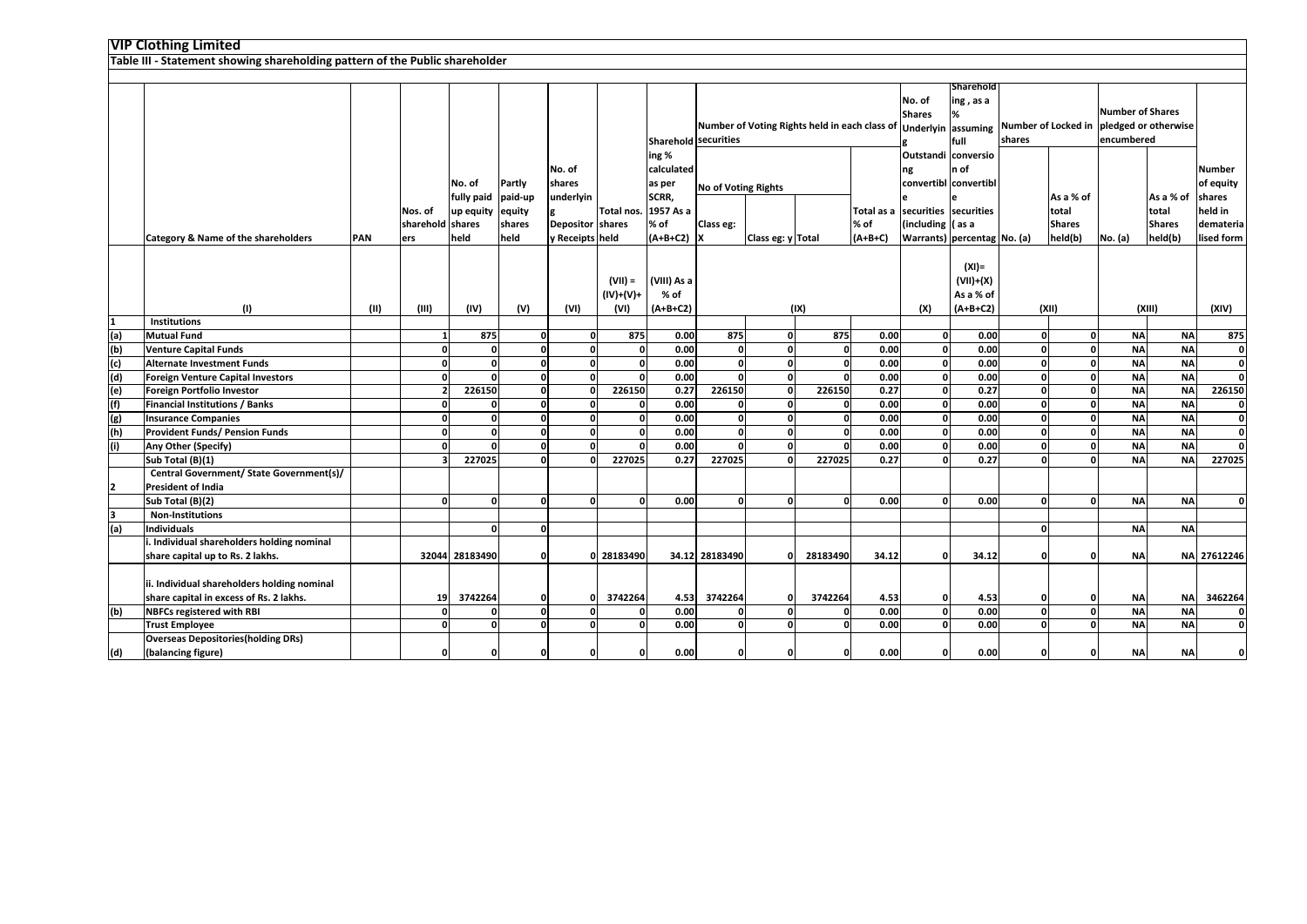|     | <b>VIP Clothing Limited</b><br>Table III - Statement showing shareholding pattern of the Public shareholder |            |                             |                                           |                            |                                                        |                                |                                                |                                                                                                                                                                        |                   |          |           |                                                                  |                                                      |                                                                                   |                                     |           |                                     |                                                              |
|-----|-------------------------------------------------------------------------------------------------------------|------------|-----------------------------|-------------------------------------------|----------------------------|--------------------------------------------------------|--------------------------------|------------------------------------------------|------------------------------------------------------------------------------------------------------------------------------------------------------------------------|-------------------|----------|-----------|------------------------------------------------------------------|------------------------------------------------------|-----------------------------------------------------------------------------------|-------------------------------------|-----------|-------------------------------------|--------------------------------------------------------------|
|     |                                                                                                             |            |                             |                                           |                            |                                                        |                                |                                                |                                                                                                                                                                        |                   |          |           |                                                                  |                                                      |                                                                                   |                                     |           |                                     |                                                              |
|     |                                                                                                             |            |                             |                                           |                            |                                                        |                                |                                                |                                                                                                                                                                        |                   |          |           |                                                                  |                                                      |                                                                                   |                                     |           |                                     |                                                              |
|     |                                                                                                             |            |                             |                                           |                            |                                                        |                                |                                                | Sharehold<br>No. of<br>ing, as a<br><b>Shares</b><br>Number of Voting Rights held in each class of Underlyin assuming<br><b>Sharehold securities</b><br>shares<br>full |                   |          |           |                                                                  |                                                      | <b>Number of Shares</b><br>Number of Locked in pledged or otherwise<br>encumbered |                                     |           |                                     |                                                              |
|     |                                                                                                             |            | Nos. of<br>sharehold shares | No. of<br>fully paid paid-up<br>up equity | Partly<br>equity<br>shares | No. of<br>shares<br>underlyin<br>e<br>Depositor shares | Total nos. 1957 As a           | ing %<br>calculated<br>as per<br>SCRR,<br>% of | No of Voting Rights<br>Class eg:                                                                                                                                       |                   |          | % of      | ng<br>Total as a securities securities<br>(including $\int$ as a | Outstandi conversio<br>n of<br>convertibl convertibl |                                                                                   | As a % of<br>total<br><b>Shares</b> |           | As a % of<br>total<br><b>Shares</b> | <b>Number</b><br>of equity<br>shares<br>held in<br>demateria |
|     | Category & Name of the shareholders                                                                         | <b>PAN</b> | ers                         | held                                      | held                       | y Receipts held                                        |                                | $(A+B+C2)$ X                                   |                                                                                                                                                                        | Class eg: y Total |          | $(A+B+C)$ |                                                                  | Warrants) percentag No. (a)                          |                                                                                   | held(b)                             | No. (a)   | held(b)                             | lised form                                                   |
|     | (1)                                                                                                         | (II)       | (III)                       | (IV)                                      | (V)                        | (VI)                                                   | (VII) =<br>$(IV)+(V)+$<br>(VI) | (VIII) As a<br>% of<br>$(A+B+C2)$              |                                                                                                                                                                        |                   | (IX)     |           | (X)                                                              | $(XI) =$<br>$(VII)+(X)$<br>As a % of<br>$(A+B+C2)$   |                                                                                   | (XII)                               |           | (XIII)                              | (XIV)                                                        |
|     | <b>Institutions</b>                                                                                         |            |                             |                                           |                            |                                                        |                                |                                                |                                                                                                                                                                        |                   |          |           |                                                                  |                                                      |                                                                                   |                                     |           |                                     |                                                              |
| (a) | <b>Mutual Fund</b>                                                                                          |            |                             | 875                                       | $\mathbf{0}$               | $\Omega$                                               | 875                            | 0.00                                           | 875                                                                                                                                                                    | $\Omega$          | 875      | 0.00      | ΩI                                                               | 0.00                                                 | 0                                                                                 | $\mathbf{0}$                        | <b>NA</b> | <b>NA</b>                           | 875                                                          |
| (b) | <b>Venture Capital Funds</b>                                                                                |            | O                           | $\mathbf{0}$                              | $\mathbf{0}$               | $\Omega$                                               | 0                              | 0.00                                           | $\Omega$                                                                                                                                                               | $\Omega$          | $\Omega$ | 0.00      | $\mathbf{0}$                                                     | 0.00                                                 | $\mathbf{0}$                                                                      | 0                                   | <b>NA</b> | <b>NA</b>                           | $\mathbf{0}$                                                 |
| (c) | <b>Alternate Investment Funds</b>                                                                           |            |                             | ŋ                                         | $\mathbf{0}$               | $\Omega$                                               | οI                             | 0.00                                           | n                                                                                                                                                                      | O                 | O        | 0.00      | 0                                                                | 0.00                                                 | $\mathbf{0}$                                                                      | $\mathbf{0}$                        | <b>NA</b> | <b>NA</b>                           | o                                                            |
| (d) | <b>Foreign Venture Capital Investors</b>                                                                    |            | <sup>o</sup>                | $\Omega$                                  | <sub>0</sub>               | $\Omega$                                               | 0                              | 0.00                                           | ŋ                                                                                                                                                                      | $\Omega$          |          | 0.00      | $\mathbf{0}$                                                     | 0.00                                                 | $\mathbf{0}$                                                                      | 0                                   | <b>NA</b> | <b>NA</b>                           | 0                                                            |
| (e) | <b>Foreign Portfolio Investor</b>                                                                           |            |                             | 226150                                    | $\mathbf{0}$               | $\Omega$                                               | 226150                         | 0.27                                           | 226150                                                                                                                                                                 | $\Omega$          | 226150   | 0.27      | οl                                                               | 0.27                                                 | O                                                                                 | 0                                   | <b>NA</b> | <b>NA</b>                           | 226150                                                       |
| (f) | <b>Financial Institutions / Banks</b>                                                                       |            |                             |                                           | $\mathbf{0}$               | $\Omega$                                               | O                              | 0.00                                           |                                                                                                                                                                        | C                 |          | 0.00      | <sup>0</sup>                                                     | 0.00                                                 | $\mathbf{0}$                                                                      | $\mathbf{0}$                        | <b>NA</b> | <b>NA</b>                           | $\mathbf{0}$                                                 |
| (g) | <b>Insurance Companies</b>                                                                                  |            | <sup>o</sup>                | $\Omega$                                  | <sub>0</sub>               | $\mathbf{0}$                                           | 0                              | 0.00                                           | $\Omega$                                                                                                                                                               | $\Omega$          | $\Omega$ | 0.00      | <sub>0</sub>                                                     | 0.00                                                 | 0                                                                                 | 0                                   | <b>NA</b> | <b>NA</b>                           | $\mathbf{0}$                                                 |
| (h) | <b>Provident Funds/ Pension Funds</b>                                                                       |            | <sup>o</sup>                | $\Omega$                                  | $\mathbf{0}$               | $\Omega$                                               | $\Omega$                       | 0.00                                           | n                                                                                                                                                                      | - 0               | $\Omega$ | 0.00      | οI                                                               | 0.00                                                 | $\mathbf{0}$                                                                      | $\mathbf{0}$                        | <b>NA</b> | <b>NA</b>                           | o                                                            |
|     | Any Other (Specify)                                                                                         |            |                             |                                           | <sub>0</sub>               | $\Omega$                                               |                                | 0.00                                           |                                                                                                                                                                        | O                 |          | 0.00      |                                                                  | 0.00                                                 | Û                                                                                 | $\mathbf{0}$                        | <b>NA</b> | <b>NA</b>                           | o                                                            |
|     | Sub Total (B)(1)                                                                                            |            |                             | 227025                                    | $\mathbf{0}$               | n                                                      | 227025                         | 0.27                                           | 227025                                                                                                                                                                 | $\Omega$          | 227025   | 0.27      | O                                                                | 0.27                                                 | O                                                                                 | $\mathbf{0}$                        | <b>NA</b> | <b>NA</b>                           | 227025                                                       |
|     | Central Government/ State Government(s)/<br><b>President of India</b>                                       |            |                             |                                           |                            |                                                        |                                |                                                |                                                                                                                                                                        |                   |          |           |                                                                  |                                                      |                                                                                   |                                     |           |                                     |                                                              |
|     | Sub Total (B)(2)                                                                                            |            | <sup>0</sup>                | <sup>0</sup>                              | $\mathbf{0}$               | 0                                                      | 0                              | 0.00                                           | n                                                                                                                                                                      | $\Omega$          | $\Omega$ | 0.00      | 0                                                                | 0.00                                                 | $\mathbf{0}$                                                                      | $\mathbf{0}$                        | <b>NA</b> | <b>NA</b>                           | o                                                            |
| 3   | <b>Non-Institutions</b>                                                                                     |            |                             |                                           |                            |                                                        |                                |                                                |                                                                                                                                                                        |                   |          |           |                                                                  |                                                      |                                                                                   |                                     |           |                                     |                                                              |
| (a) | <b>Individuals</b>                                                                                          |            |                             | $\Omega$                                  | $\mathbf{0}$               |                                                        |                                |                                                |                                                                                                                                                                        |                   |          |           |                                                                  |                                                      | ΩI                                                                                |                                     | <b>NA</b> | <b>NA</b>                           |                                                              |
|     | . Individual shareholders holding nominal                                                                   |            |                             |                                           |                            |                                                        |                                |                                                |                                                                                                                                                                        |                   |          |           |                                                                  |                                                      |                                                                                   |                                     |           |                                     |                                                              |
|     | share capital up to Rs. 2 lakhs.                                                                            |            |                             | 32044 28183490                            | 0                          |                                                        | 0 28183490                     |                                                | 34.12 28183490                                                                                                                                                         | $\Omega$          | 28183490 | 34.12     | O                                                                | 34.12                                                |                                                                                   | $\Omega$                            | <b>NA</b> |                                     | NA 27612246                                                  |
|     | ii. Individual shareholders holding nominal<br>share capital in excess of Rs. 2 lakhs.                      |            | 19                          | 3742264                                   | 0                          | $\Omega$                                               | 3742264                        | 4.53                                           | 3742264                                                                                                                                                                | 0                 | 3742264  | 4.53      |                                                                  | 4.53                                                 |                                                                                   | $\Omega$                            | <b>NA</b> | <b>NA</b>                           | 3462264                                                      |
| (b) | <b>NBFCs registered with RBI</b>                                                                            |            |                             | $\mathbf{0}$                              | <sub>0</sub>               | $\Omega$                                               | O                              | 0.00                                           | n                                                                                                                                                                      | O                 |          | 0.00      | ΩI                                                               | 0.00                                                 | $\Omega$                                                                          | $\mathbf{0}$                        | <b>NA</b> | <b>NA</b>                           | 0                                                            |
|     | <b>Trust Employee</b>                                                                                       |            | n                           | O                                         | $\mathbf{0}$               | O                                                      | 0                              | 0.00                                           |                                                                                                                                                                        | $\Omega$          |          | 0.00      |                                                                  | 0.00                                                 | U                                                                                 | $\mathbf{0}$                        | <b>NA</b> | <b>NA</b>                           | $\Omega$                                                     |
| (d) | <b>Overseas Depositories (holding DRs)</b><br>(balancing figure)                                            |            | O                           | $\Omega$                                  | $\mathbf{0}$               | $\Omega$                                               | 0                              | 0.00                                           |                                                                                                                                                                        |                   |          | 0.00      | U                                                                | 0.00                                                 | n                                                                                 | $\Omega$                            | <b>NA</b> | <b>NA</b>                           | $\mathbf{0}$                                                 |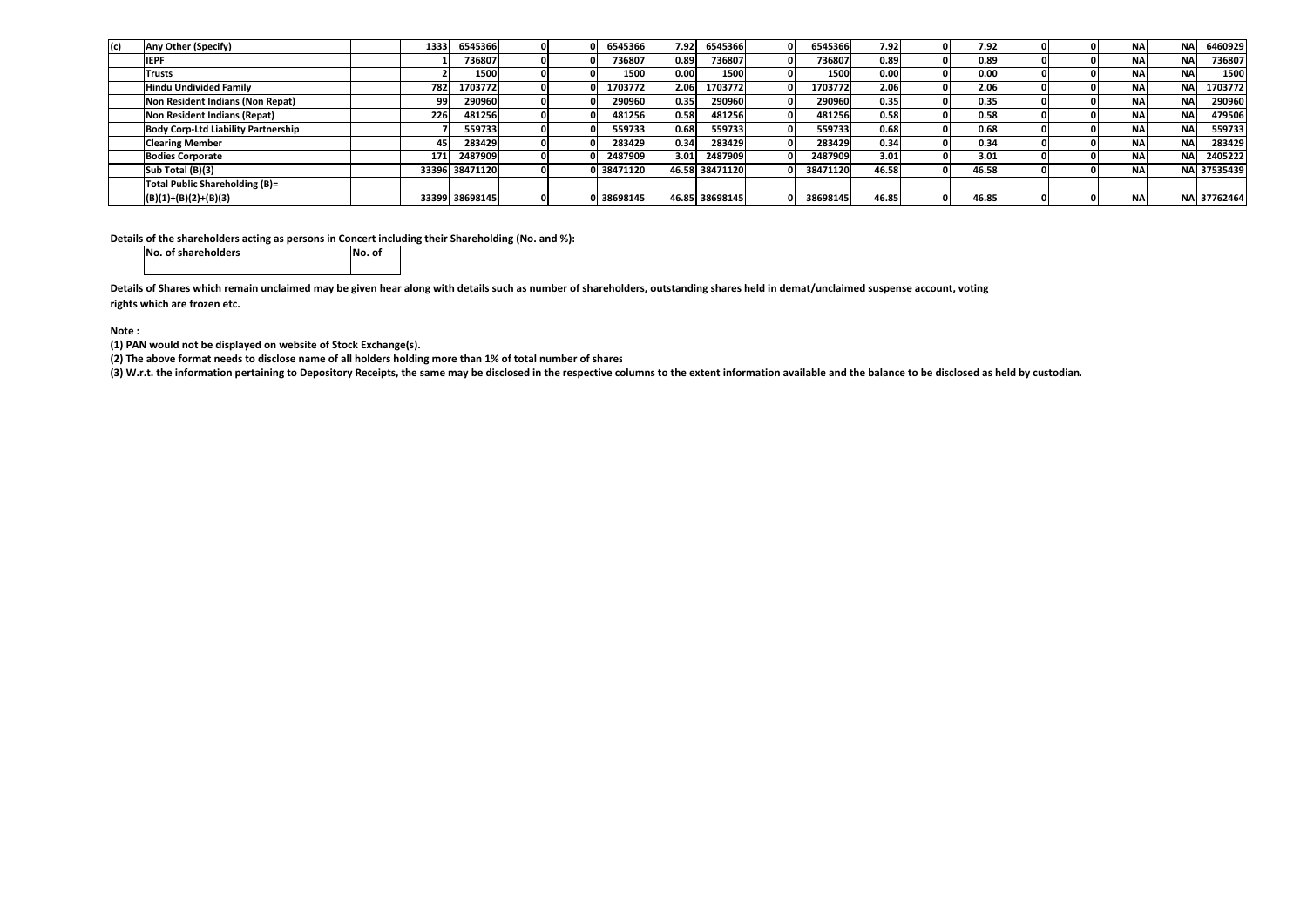| (c) | Any Other (Specify)                        | 1333 | 6545366        |  | 6545366    | 7.92 | 6545366        | 6545366  | 7.92  | 7.92  |  | <b>NA</b> | <b>NA</b>  | 6460929     |
|-----|--------------------------------------------|------|----------------|--|------------|------|----------------|----------|-------|-------|--|-----------|------------|-------------|
|     | <b>IEPF</b>                                |      | 736807         |  | 736807     | 0.89 | 736807         | 736807   | 0.89  | 0.89  |  | <b>NA</b> | <b>NA</b>  | 736807      |
|     | Trusts                                     |      | 1500           |  | 1500       | 0.00 | 1500           | 1500     | 0.00  | 0.00  |  | <b>NA</b> | <b>NA</b>  | 1500        |
|     | <b>Hindu Undivided Family</b>              | 782  | 1703772        |  | 1703772    | 2.06 | 1703772        | 1703772  | 2.06  | 2.06  |  | <b>NA</b> | <b>NA</b>  | 1703772     |
|     | Non Resident Indians (Non Repat)           |      | 290960         |  | 290960     | 0.35 | 290960         | 290960   | 0.35  | 0.35  |  | NA.       | <b>NA</b>  | 290960      |
|     | Non Resident Indians (Repat)               | 226  | 481256         |  | 481256     | 0.58 | 481256         | 481256   | 0.58  | 0.58  |  | <b>NA</b> | <b>NA</b>  | 479506      |
|     | <b>Body Corp-Ltd Liability Partnership</b> |      | 5597331        |  | 559733     | 0.68 | 559733         | 559733   | 0.68  | 0.68  |  | <b>NA</b> | <b>NA</b>  | 559733      |
|     | <b>Clearing Member</b>                     |      | 283429         |  | 283429     | 0.34 | 283429         | 283429   | 0.34  | 0.34  |  | NA.       | <b>NA</b>  | 283429      |
|     | <b>Bodies Corporate</b>                    | 171  | 2487909        |  | 2487909    | 3.01 | 2487909        | 2487909  | 3.01  | 3.01  |  | <b>NA</b> | <b>NAI</b> | 2405222     |
|     | Sub Total (B)(3)                           |      | 33396 38471120 |  | 0 38471120 |      | 46.58 38471120 | 38471120 | 46.58 | 46.58 |  | <b>NA</b> |            | NA 37535439 |
|     | Total Public Shareholding (B)=             |      |                |  |            |      |                |          |       |       |  |           |            |             |
|     | $(B)(1)+(B)(2)+(B)(3)$                     |      | 33399 38698145 |  | 0 38698145 |      | 46.85 38698145 | 38698145 | 46.85 | 46.85 |  | <b>NA</b> |            | NA 37762464 |

**Details of the shareholders acting as persons in Concert including their Shareholding (No. and %):**

| No. of shareholders | No. of |
|---------------------|--------|
|                     |        |

**Details of Shares which remain unclaimed may be given hear along with details such as number of shareholders, outstanding shares held in demat/unclaimed suspense account, voting rights which are frozen etc.**

**Note :**

**(1) PAN would not be displayed on website of Stock Exchange(s).**

**(2) The above format needs to disclose name of all holders holding more than 1% of total number of shares**

**(3) W.r.t. the information pertaining to Depository Receipts, the same may be disclosed in the respective columns to the extent information available and the balance to be disclosed as held by custodian.**